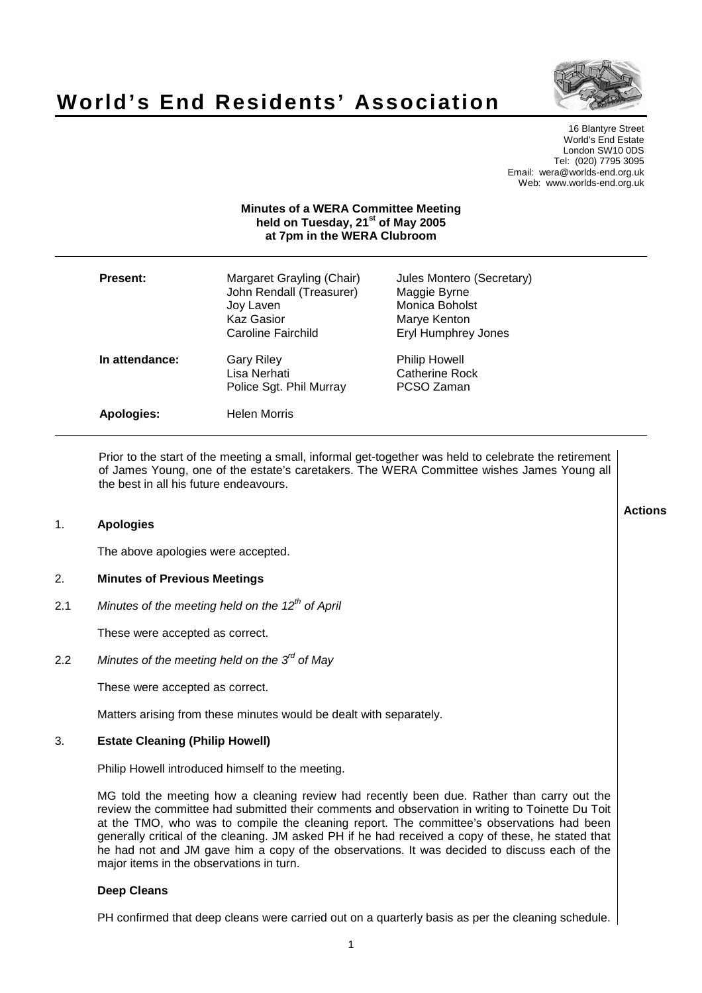

# **World's End Residents' Association**

16 Blantyre Street World's End Estate London SW10 0DS Tel: (020) 7795 3095 Email: wera@worlds-end.org.uk Web: www.worlds-end.org.uk

# **Minutes of a WERA Committee Meeting held on Tuesday, 21 st of May 2005 at 7pm in the WERA Clubroom**

| Present:       | Margaret Grayling (Chair)<br>John Rendall (Treasurer)<br>Joy Laven<br><b>Kaz Gasior</b><br><b>Caroline Fairchild</b> | Jules Montero (Secretary)<br>Maggie Byrne<br>Monica Boholst<br>Marye Kenton<br>Eryl Humphrey Jones |
|----------------|----------------------------------------------------------------------------------------------------------------------|----------------------------------------------------------------------------------------------------|
| In attendance: | Gary Riley<br>Lisa Nerhati<br>Police Sgt. Phil Murray                                                                | <b>Philip Howell</b><br>Catherine Rock<br>PCSO Zaman                                               |
| Apologies:     | Helen Morris                                                                                                         |                                                                                                    |

Prior to the start of the meeting a small, informal get-together was held to celebrate the retirement of James Young, one of the estate's caretakers. The WERA Committee wishes James Young all the best in all his future endeavours.

# 1. **Apologies**

The above apologies were accepted.

# 2. **Minutes of Previous Meetings**

2.1 Minutes of the meeting held on the 12<sup>th</sup> of April

These were accepted as correct.

2.2 Minutes of the meeting held on the  $3^{\prime\prime}$  of May

These were accepted as correct.

Matters arising from these minutes would be dealt with separately.

## 3. **Estate Cleaning (Philip Howell)**

Philip Howell introduced himself to the meeting.

MG told the meeting how a cleaning review had recently been due. Rather than carry out the review the committee had submitted their comments and observation in writing to Toinette Du Toit at the TMO, who was to compile the cleaning report. The committee's observations had been generally critical of the cleaning. JM asked PH if he had received a copy of these, he stated that he had not and JM gave him a copy of the observations. It was decided to discuss each of the major items in the observations in turn.

## **Deep Cleans**

PH confirmed that deep cleans were carried out on a quarterly basis as per the cleaning schedule.

**Actions**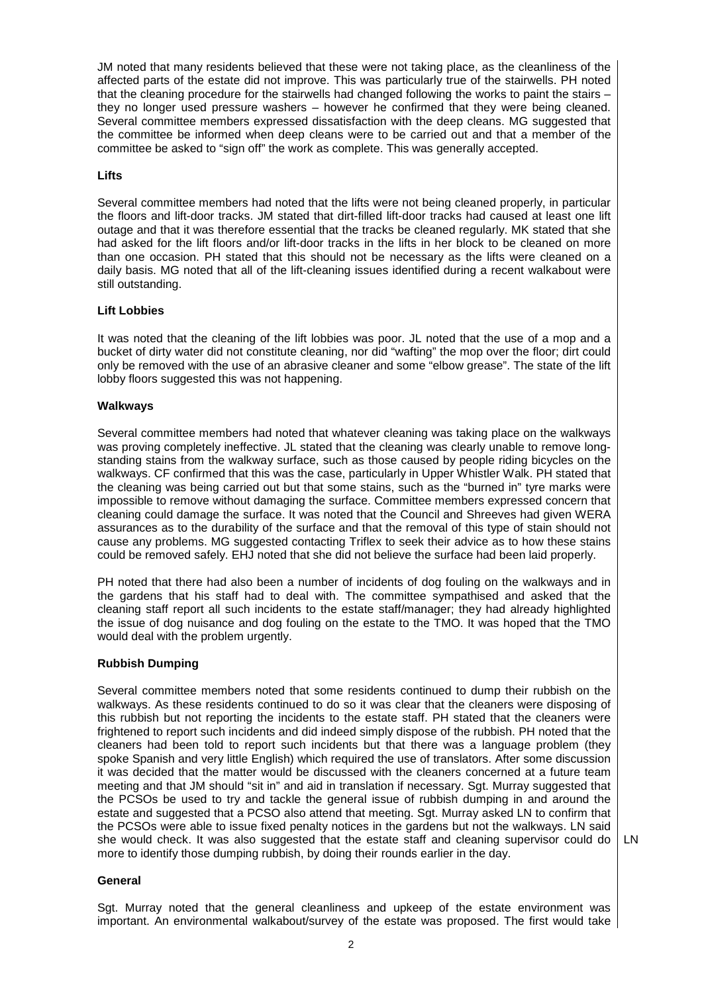JM noted that many residents believed that these were not taking place, as the cleanliness of the affected parts of the estate did not improve. This was particularly true of the stairwells. PH noted that the cleaning procedure for the stairwells had changed following the works to paint the stairs – they no longer used pressure washers – however he confirmed that they were being cleaned. Several committee members expressed dissatisfaction with the deep cleans. MG suggested that the committee be informed when deep cleans were to be carried out and that a member of the committee be asked to "sign off" the work as complete. This was generally accepted.

## **Lifts**

Several committee members had noted that the lifts were not being cleaned properly, in particular the floors and lift-door tracks. JM stated that dirt-filled lift-door tracks had caused at least one lift outage and that it was therefore essential that the tracks be cleaned regularly. MK stated that she had asked for the lift floors and/or lift-door tracks in the lifts in her block to be cleaned on more than one occasion. PH stated that this should not be necessary as the lifts were cleaned on a daily basis. MG noted that all of the lift-cleaning issues identified during a recent walkabout were still outstanding.

## **Lift Lobbies**

It was noted that the cleaning of the lift lobbies was poor. JL noted that the use of a mop and a bucket of dirty water did not constitute cleaning, nor did "wafting" the mop over the floor; dirt could only be removed with the use of an abrasive cleaner and some "elbow grease". The state of the lift lobby floors suggested this was not happening.

## **Walkways**

Several committee members had noted that whatever cleaning was taking place on the walkways was proving completely ineffective. JL stated that the cleaning was clearly unable to remove longstanding stains from the walkway surface, such as those caused by people riding bicycles on the walkways. CF confirmed that this was the case, particularly in Upper Whistler Walk. PH stated that the cleaning was being carried out but that some stains, such as the "burned in" tyre marks were impossible to remove without damaging the surface. Committee members expressed concern that cleaning could damage the surface. It was noted that the Council and Shreeves had given WERA assurances as to the durability of the surface and that the removal of this type of stain should not cause any problems. MG suggested contacting Triflex to seek their advice as to how these stains could be removed safely. EHJ noted that she did not believe the surface had been laid properly.

PH noted that there had also been a number of incidents of dog fouling on the walkways and in the gardens that his staff had to deal with. The committee sympathised and asked that the cleaning staff report all such incidents to the estate staff/manager; they had already highlighted the issue of dog nuisance and dog fouling on the estate to the TMO. It was hoped that the TMO would deal with the problem urgently.

## **Rubbish Dumping**

Several committee members noted that some residents continued to dump their rubbish on the walkways. As these residents continued to do so it was clear that the cleaners were disposing of this rubbish but not reporting the incidents to the estate staff. PH stated that the cleaners were frightened to report such incidents and did indeed simply dispose of the rubbish. PH noted that the cleaners had been told to report such incidents but that there was a language problem (they spoke Spanish and very little English) which required the use of translators. After some discussion it was decided that the matter would be discussed with the cleaners concerned at a future team meeting and that JM should "sit in" and aid in translation if necessary. Sgt. Murray suggested that the PCSOs be used to try and tackle the general issue of rubbish dumping in and around the estate and suggested that a PCSO also attend that meeting. Sgt. Murray asked LN to confirm that the PCSOs were able to issue fixed penalty notices in the gardens but not the walkways. LN said she would check. It was also suggested that the estate staff and cleaning supervisor could do more to identify those dumping rubbish, by doing their rounds earlier in the day.

LN

#### **General**

Sgt. Murray noted that the general cleanliness and upkeep of the estate environment was important. An environmental walkabout/survey of the estate was proposed. The first would take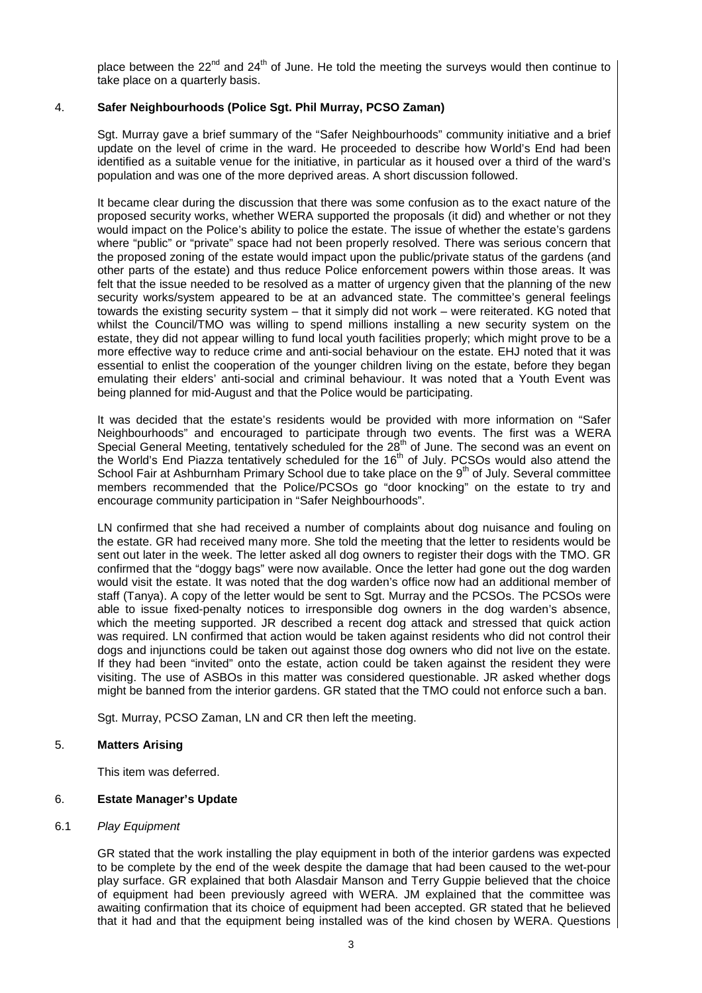place between the 22<sup>nd</sup> and 24<sup>th</sup> of June. He told the meeting the surveys would then continue to take place on a quarterly basis.

# 4. **Safer Neighbourhoods (Police Sgt. Phil Murray, PCSO Zaman)**

Sgt. Murray gave a brief summary of the "Safer Neighbourhoods" community initiative and a brief update on the level of crime in the ward. He proceeded to describe how World's End had been identified as a suitable venue for the initiative, in particular as it housed over a third of the ward's population and was one of the more deprived areas. A short discussion followed.

It became clear during the discussion that there was some confusion as to the exact nature of the proposed security works, whether WERA supported the proposals (it did) and whether or not they would impact on the Police's ability to police the estate. The issue of whether the estate's gardens where "public" or "private" space had not been properly resolved. There was serious concern that the proposed zoning of the estate would impact upon the public/private status of the gardens (and other parts of the estate) and thus reduce Police enforcement powers within those areas. It was felt that the issue needed to be resolved as a matter of urgency given that the planning of the new security works/system appeared to be at an advanced state. The committee's general feelings towards the existing security system – that it simply did not work – were reiterated. KG noted that whilst the Council/TMO was willing to spend millions installing a new security system on the estate, they did not appear willing to fund local youth facilities properly; which might prove to be a more effective way to reduce crime and anti-social behaviour on the estate. EHJ noted that it was essential to enlist the cooperation of the younger children living on the estate, before they began emulating their elders' anti-social and criminal behaviour. It was noted that a Youth Event was being planned for mid-August and that the Police would be participating.

It was decided that the estate's residents would be provided with more information on "Safer Neighbourhoods" and encouraged to participate through two events. The first was a WERA Special General Meeting, tentatively scheduled for the  $28<sup>th</sup>$  of June. The second was an event on the World's End Piazza tentatively scheduled for the 16<sup>th</sup> of July. PCSOs would also attend the School Fair at Ashburnham Primary School due to take place on the 9<sup>th</sup> of July. Several committee members recommended that the Police/PCSOs go "door knocking" on the estate to try and encourage community participation in "Safer Neighbourhoods".

LN confirmed that she had received a number of complaints about dog nuisance and fouling on the estate. GR had received many more. She told the meeting that the letter to residents would be sent out later in the week. The letter asked all dog owners to register their dogs with the TMO. GR confirmed that the "doggy bags" were now available. Once the letter had gone out the dog warden would visit the estate. It was noted that the dog warden's office now had an additional member of staff (Tanya). A copy of the letter would be sent to Sgt. Murray and the PCSOs. The PCSOs were able to issue fixed-penalty notices to irresponsible dog owners in the dog warden's absence, which the meeting supported. JR described a recent dog attack and stressed that quick action was required. LN confirmed that action would be taken against residents who did not control their dogs and injunctions could be taken out against those dog owners who did not live on the estate. If they had been "invited" onto the estate, action could be taken against the resident they were visiting. The use of ASBOs in this matter was considered questionable. JR asked whether dogs might be banned from the interior gardens. GR stated that the TMO could not enforce such a ban.

Sgt. Murray, PCSO Zaman, LN and CR then left the meeting.

## 5. **Matters Arising**

This item was deferred.

## 6. **Estate Manager's Update**

## 6.1 Play Equipment

GR stated that the work installing the play equipment in both of the interior gardens was expected to be complete by the end of the week despite the damage that had been caused to the wet-pour play surface. GR explained that both Alasdair Manson and Terry Guppie believed that the choice of equipment had been previously agreed with WERA. JM explained that the committee was awaiting confirmation that its choice of equipment had been accepted. GR stated that he believed that it had and that the equipment being installed was of the kind chosen by WERA. Questions